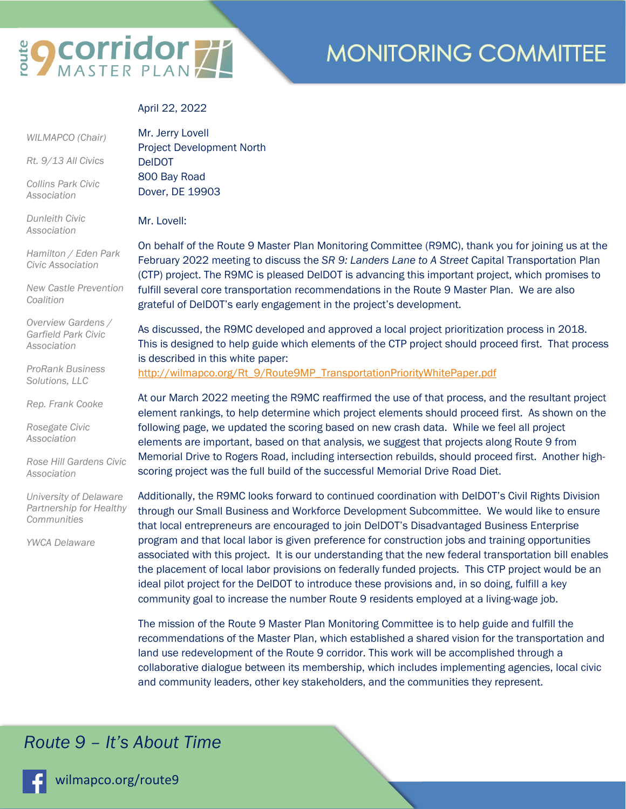# **EQ COrridor 77**

# **MONITORING COMMITTEE**

#### April 22, 2022

# *WILMAPCO (Chair)*

*Rt. 9/13 All Civics* 

*Collins Park Civic Association* 

*Dunleith Civic Association* 

*Hamilton / Eden Park Civic Association* 

*New Castle Prevention Coalition* 

*Overview Gardens / Garfield Park Civic Association* 

*ProRank Business Solutions, LLC* 

*Rep. Frank Cooke* 

*Rosegate Civic Association* 

*Rose Hill Gardens Civic Association* 

*University of Delaware Partnership for Healthy Communities* 

*YWCA Delaware* 

Mr. Jerry Lovell Project Development North DelDOT 800 Bay Road Dover, DE 19903

Mr. Lovell:

On behalf of the Route 9 Master Plan Monitoring Committee (R9MC), thank you for joining us at the February 2022 meeting to discuss the *SR 9: Landers Lane to A Street* Capital Transportation Plan (CTP) project. The R9MC is pleased DelDOT is advancing this important project, which promises to fulfill several core transportation recommendations in the Route 9 Master Plan. We are also grateful of DelDOT's early engagement in the project's development.

As discussed, the R9MC developed and approved a local project prioritization process in 2018. This is designed to help guide which elements of the CTP project should proceed first. That process is described in this white paper:

http://wilmapco.org/Rt\_9/Route9MP\_TransportationPriorityWhitePaper.pdf

At our March 2022 meeting the R9MC reaffirmed the use of that process, and the resultant project element rankings, to help determine which project elements should proceed first. As shown on the following page, we updated the scoring based on new crash data. While we feel all project elements are important, based on that analysis, we suggest that projects along Route 9 from Memorial Drive to Rogers Road, including intersection rebuilds, should proceed first. Another highscoring project was the full build of the successful Memorial Drive Road Diet.

Additionally, the R9MC looks forward to continued coordination with DelDOT's Civil Rights Division through our Small Business and Workforce Development Subcommittee. We would like to ensure that local entrepreneurs are encouraged to join DelDOT's Disadvantaged Business Enterprise program and that local labor is given preference for construction jobs and training opportunities associated with this project. It is our understanding that the new federal transportation bill enables the placement of local labor provisions on federally funded projects. This CTP project would be an ideal pilot project for the DelDOT to introduce these provisions and, in so doing, fulfill a key community goal to increase the number Route 9 residents employed at a living-wage job.

The mission of the Route 9 Master Plan Monitoring Committee is to help guide and fulfill the recommendations of the Master Plan, which established a shared vision for the transportation and land use redevelopment of the Route 9 corridor. This work will be accomplished through a collaborative dialogue between its membership, which includes implementing agencies, local civic and community leaders, other key stakeholders, and the communities they represent.

### *Route 9 – It's About Time*